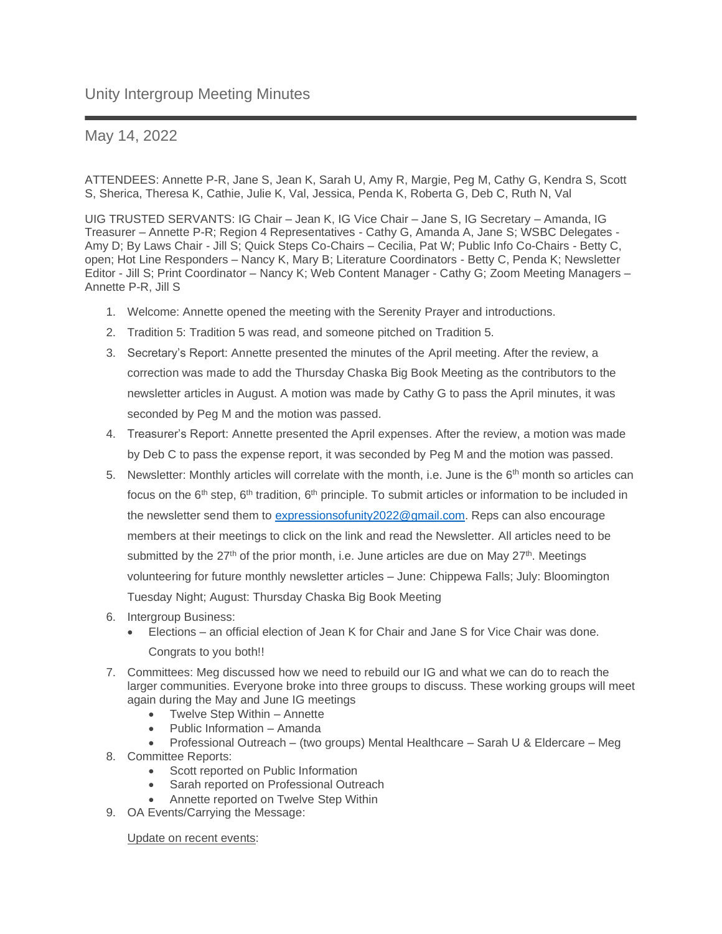## May 14, 2022

ATTENDEES: Annette P-R, Jane S, Jean K, Sarah U, Amy R, Margie, Peg M, Cathy G, Kendra S, Scott S, Sherica, Theresa K, Cathie, Julie K, Val, Jessica, Penda K, Roberta G, Deb C, Ruth N, Val

UIG TRUSTED SERVANTS: IG Chair – Jean K, IG Vice Chair – Jane S, IG Secretary – Amanda, IG Treasurer – Annette P-R; Region 4 Representatives - Cathy G, Amanda A, Jane S; WSBC Delegates - Amy D; By Laws Chair - Jill S; Quick Steps Co-Chairs – Cecilia, Pat W; Public Info Co-Chairs - Betty C, open; Hot Line Responders – Nancy K, Mary B; Literature Coordinators - Betty C, Penda K; Newsletter Editor - Jill S; Print Coordinator – Nancy K; Web Content Manager - Cathy G; Zoom Meeting Managers – Annette P-R, Jill S

- 1. Welcome: Annette opened the meeting with the Serenity Prayer and introductions.
- 2. Tradition 5: Tradition 5 was read, and someone pitched on Tradition 5.
- 3. Secretary's Report: Annette presented the minutes of the April meeting. After the review, a correction was made to add the Thursday Chaska Big Book Meeting as the contributors to the newsletter articles in August. A motion was made by Cathy G to pass the April minutes, it was seconded by Peg M and the motion was passed.
- 4. Treasurer's Report: Annette presented the April expenses. After the review, a motion was made by Deb C to pass the expense report, it was seconded by Peg M and the motion was passed.
- 5. Newsletter: Monthly articles will correlate with the month, i.e. June is the 6<sup>th</sup> month so articles can focus on the 6<sup>th</sup> step, 6<sup>th</sup> tradition, 6<sup>th</sup> principle. To submit articles or information to be included in the newsletter send them to [expressionsofunity2022@gmail.com.](mailto:expressionsofunity2022@gmail.com) Reps can also encourage members at their meetings to click on the link and read the Newsletter. All articles need to be submitted by the  $27<sup>th</sup>$  of the prior month, i.e. June articles are due on May  $27<sup>th</sup>$ . Meetings volunteering for future monthly newsletter articles – June: Chippewa Falls; July: Bloomington Tuesday Night; August: Thursday Chaska Big Book Meeting
- 6. Intergroup Business:
	- Elections an official election of Jean K for Chair and Jane S for Vice Chair was done. Congrats to you both!!
- 7. Committees: Meg discussed how we need to rebuild our IG and what we can do to reach the larger communities. Everyone broke into three groups to discuss. These working groups will meet again during the May and June IG meetings
	- Twelve Step Within Annette
	- Public Information Amanda
- Professional Outreach (two groups) Mental Healthcare Sarah U & Eldercare Meg 8. Committee Reports:
	- Scott reported on Public Information
	- Sarah reported on Professional Outreach
	- Annette reported on Twelve Step Within
- 9. OA Events/Carrying the Message:

Update on recent events: